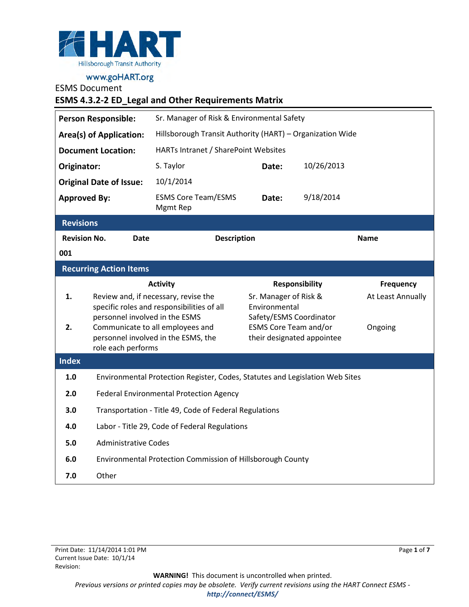

ESMS Document

# **ESMS 4.3.2-2 ED\_Legal and Other Requirements Matrix**

| <b>Person Responsible:</b>     |                                                                              | Sr. Manager of Risk & Environmental Safety                                   |                                        |                            |                   |
|--------------------------------|------------------------------------------------------------------------------|------------------------------------------------------------------------------|----------------------------------------|----------------------------|-------------------|
| <b>Area(s) of Application:</b> |                                                                              | Hillsborough Transit Authority (HART) - Organization Wide                    |                                        |                            |                   |
| <b>Document Location:</b>      |                                                                              | HARTs Intranet / SharePoint Websites                                         |                                        |                            |                   |
| Originator:                    |                                                                              | S. Taylor                                                                    | Date:                                  | 10/26/2013                 |                   |
|                                | <b>Original Date of Issue:</b>                                               | 10/1/2014                                                                    |                                        |                            |                   |
| <b>Approved By:</b>            |                                                                              | <b>ESMS Core Team/ESMS</b><br>Mgmt Rep                                       | Date:                                  | 9/18/2014                  |                   |
| <b>Revisions</b>               |                                                                              |                                                                              |                                        |                            |                   |
| <b>Revision No.</b>            | <b>Date</b>                                                                  | <b>Description</b>                                                           |                                        |                            | <b>Name</b>       |
| 001                            |                                                                              |                                                                              |                                        |                            |                   |
|                                | <b>Recurring Action Items</b>                                                |                                                                              |                                        |                            |                   |
|                                |                                                                              | <b>Activity</b>                                                              |                                        | <b>Responsibility</b>      | <b>Frequency</b>  |
| 1.                             |                                                                              | Review and, if necessary, revise the                                         | Sr. Manager of Risk &<br>Environmental |                            | At Least Annually |
|                                | specific roles and responsibilities of all<br>personnel involved in the ESMS |                                                                              | Safety/ESMS Coordinator                |                            |                   |
| 2.                             |                                                                              | Communicate to all employees and                                             | <b>ESMS Core Team and/or</b>           |                            | Ongoing           |
|                                | role each performs                                                           | personnel involved in the ESMS, the                                          |                                        | their designated appointee |                   |
| <b>Index</b>                   |                                                                              |                                                                              |                                        |                            |                   |
| 1.0                            |                                                                              | Environmental Protection Register, Codes, Statutes and Legislation Web Sites |                                        |                            |                   |
| 2.0                            | <b>Federal Environmental Protection Agency</b>                               |                                                                              |                                        |                            |                   |
| 3.0                            | Transportation - Title 49, Code of Federal Regulations                       |                                                                              |                                        |                            |                   |
| 4.0                            | Labor - Title 29, Code of Federal Regulations                                |                                                                              |                                        |                            |                   |
| 5.0                            | <b>Administrative Codes</b>                                                  |                                                                              |                                        |                            |                   |
| 6.0                            | Environmental Protection Commission of Hillsborough County                   |                                                                              |                                        |                            |                   |
| 7.0                            | Other                                                                        |                                                                              |                                        |                            |                   |

**WARNING!** This document is uncontrolled when printed. *Previous versions or printed copies may be obsolete. Verify current revisions using the HART Connect ESMS <http://connect/ESMS/>*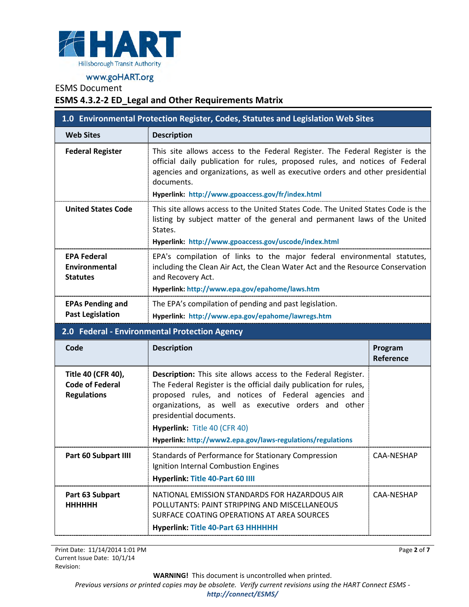

# ESMS Document

### **ESMS 4.3.2-2 ED\_Legal and Other Requirements Matrix**

| 1.0 Environmental Protection Register, Codes, Statutes and Legislation Web Sites |                                                                                                                                                                                                                                                                                                                                                                                    |                      |
|----------------------------------------------------------------------------------|------------------------------------------------------------------------------------------------------------------------------------------------------------------------------------------------------------------------------------------------------------------------------------------------------------------------------------------------------------------------------------|----------------------|
| <b>Web Sites</b>                                                                 | <b>Description</b>                                                                                                                                                                                                                                                                                                                                                                 |                      |
| <b>Federal Register</b>                                                          | This site allows access to the Federal Register. The Federal Register is the<br>official daily publication for rules, proposed rules, and notices of Federal<br>agencies and organizations, as well as executive orders and other presidential<br>documents.<br>Hyperlink: http://www.gpoaccess.gov/fr/index.html                                                                  |                      |
| <b>United States Code</b>                                                        | This site allows access to the United States Code. The United States Code is the<br>listing by subject matter of the general and permanent laws of the United<br>States.<br>Hyperlink: http://www.gpoaccess.gov/uscode/index.html                                                                                                                                                  |                      |
| <b>EPA Federal</b><br>Environmental<br><b>Statutes</b>                           | EPA's compilation of links to the major federal environmental statutes,<br>including the Clean Air Act, the Clean Water Act and the Resource Conservation<br>and Recovery Act.<br>Hyperlink: http://www.epa.gov/epahome/laws.htm                                                                                                                                                   |                      |
| <b>EPAs Pending and</b><br><b>Past Legislation</b>                               | The EPA's compilation of pending and past legislation.<br>Hyperlink: http://www.epa.gov/epahome/lawregs.htm                                                                                                                                                                                                                                                                        |                      |
|                                                                                  | 2.0 Federal - Environmental Protection Agency                                                                                                                                                                                                                                                                                                                                      |                      |
| Code                                                                             | <b>Description</b>                                                                                                                                                                                                                                                                                                                                                                 | Program<br>Reference |
| Title 40 (CFR 40),<br><b>Code of Federal</b><br><b>Regulations</b>               | <b>Description:</b> This site allows access to the Federal Register.<br>The Federal Register is the official daily publication for rules,<br>proposed rules, and notices of Federal agencies and<br>organizations, as well as executive orders and other<br>presidential documents.<br>Hyperlink: Title 40 (CFR 40)<br>Hyperlink: http://www2.epa.gov/laws-regulations/regulations |                      |
| Part 60 Subpart IIII                                                             | Standards of Performance for Stationary Compression<br>Ignition Internal Combustion Engines<br>Hyperlink: Title 40-Part 60 IIII                                                                                                                                                                                                                                                    | CAA-NESHAP           |
| Part 63 Subpart<br><b>HHHHHH</b>                                                 | NATIONAL EMISSION STANDARDS FOR HAZARDOUS AIR<br>POLLUTANTS: PAINT STRIPPING AND MISCELLANEOUS<br>SURFACE COATING OPERATIONS AT AREA SOURCES<br>Hyperlink: Title 40-Part 63 HHHHHH                                                                                                                                                                                                 | CAA-NESHAP           |

Print Date: 11/14/2014 1:01 PM Current Issue Date: 10/1/14 Revision:

Page **2** of **7**

**WARNING!** This document is uncontrolled when printed.

*Previous versions or printed copies may be obsolete. Verify current revisions using the HART Connect ESMS -* 

#### *<http://connect/ESMS/>*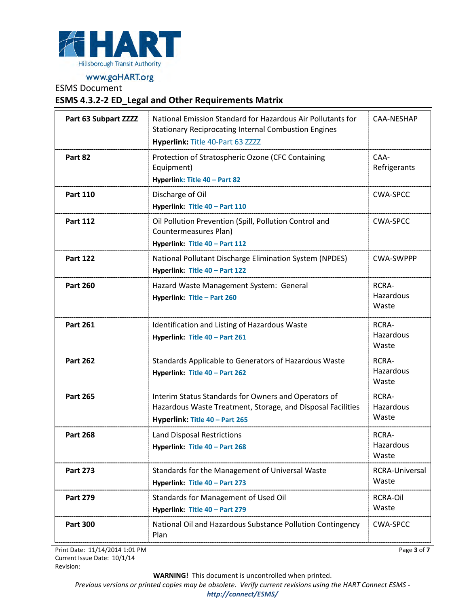

ESMS Document

#### **ESMS 4.3.2-2 ED\_Legal and Other Requirements Matrix**

| Part 63 Subpart ZZZZ | National Emission Standard for Hazardous Air Pollutants for<br><b>Stationary Reciprocating Internal Combustion Engines</b>                            | CAA-NESHAP                  |
|----------------------|-------------------------------------------------------------------------------------------------------------------------------------------------------|-----------------------------|
|                      | Hyperlink: Title 40-Part 63 ZZZZ                                                                                                                      |                             |
| Part 82              | Protection of Stratospheric Ozone (CFC Containing<br>Equipment)<br>Hyperlink: Title 40 - Part 82                                                      | CAA-<br>Refrigerants        |
| <b>Part 110</b>      | Discharge of Oil<br>Hyperlink: Title 40 - Part 110                                                                                                    | <b>CWA-SPCC</b>             |
| <b>Part 112</b>      | Oil Pollution Prevention (Spill, Pollution Control and<br>Countermeasures Plan)<br>Hyperlink: Title 40 - Part 112                                     | <b>CWA-SPCC</b>             |
| <b>Part 122</b>      | National Pollutant Discharge Elimination System (NPDES)<br>Hyperlink: Title 40 - Part 122                                                             | <b>CWA-SWPPP</b>            |
| <b>Part 260</b>      | Hazard Waste Management System: General<br>Hyperlink: Title - Part 260                                                                                | RCRA-<br>Hazardous<br>Waste |
| <b>Part 261</b>      | Identification and Listing of Hazardous Waste<br>Hyperlink: Title 40 - Part 261                                                                       | RCRA-<br>Hazardous<br>Waste |
| <b>Part 262</b>      | Standards Applicable to Generators of Hazardous Waste<br>Hyperlink: Title 40 - Part 262                                                               | RCRA-<br>Hazardous<br>Waste |
| <b>Part 265</b>      | Interim Status Standards for Owners and Operators of<br>Hazardous Waste Treatment, Storage, and Disposal Facilities<br>Hyperlink: Title 40 - Part 265 | RCRA-<br>Hazardous<br>Waste |
| <b>Part 268</b>      | Land Disposal Restrictions<br>Hyperlink: Title 40 - Part 268                                                                                          | RCRA-<br>Hazardous<br>Waste |
| <b>Part 273</b>      | Standards for the Management of Universal Waste<br>Hyperlink: Title 40 - Part 273                                                                     | RCRA-Universal<br>Waste     |
| <b>Part 279</b>      | Standards for Management of Used Oil<br>Hyperlink: Title 40 - Part 279                                                                                | <b>RCRA-Oil</b><br>Waste    |
| <b>Part 300</b>      | National Oil and Hazardous Substance Pollution Contingency<br>Plan                                                                                    | CWA-SPCC                    |

Print Date: 11/14/2014 1:01 PM Current Issue Date: 10/1/14 Revision:

Page **3** of **7**

**WARNING!** This document is uncontrolled when printed.

*Previous versions or printed copies may be obsolete. Verify current revisions using the HART Connect ESMS -* 

#### *<http://connect/ESMS/>*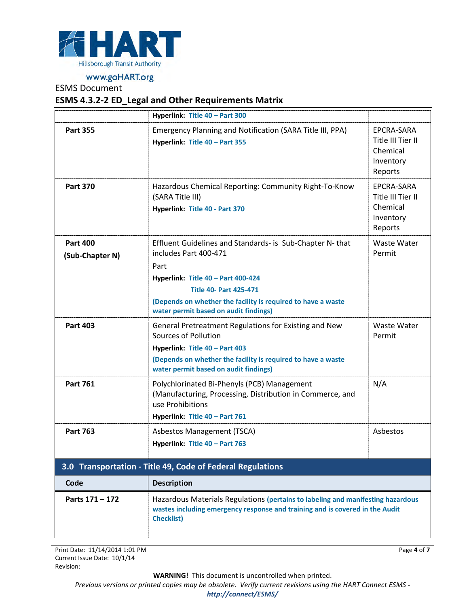

# ESMS Document

# **ESMS 4.3.2-2 ED\_Legal and Other Requirements Matrix**

|                                    | Hyperlink: Title 40 - Part 300                                                                                                                                                                                                                                            |                                                                     |
|------------------------------------|---------------------------------------------------------------------------------------------------------------------------------------------------------------------------------------------------------------------------------------------------------------------------|---------------------------------------------------------------------|
| <b>Part 355</b>                    | Emergency Planning and Notification (SARA Title III, PPA)<br>Hyperlink: Title 40 - Part 355                                                                                                                                                                               | EPCRA-SARA<br>Title III Tier II<br>Chemical<br>Inventory<br>Reports |
| <b>Part 370</b>                    | Hazardous Chemical Reporting: Community Right-To-Know<br>(SARA Title III)<br>Hyperlink: Title 40 - Part 370                                                                                                                                                               | EPCRA-SARA<br>Title III Tier II<br>Chemical<br>Inventory<br>Reports |
| <b>Part 400</b><br>(Sub-Chapter N) | Effluent Guidelines and Standards- is Sub-Chapter N-that<br>includes Part 400-471<br>Part<br>Hyperlink: Title 40 - Part 400-424<br><b>Title 40- Part 425-471</b><br>(Depends on whether the facility is required to have a waste<br>water permit based on audit findings) | Waste Water<br>Permit                                               |
| <b>Part 403</b>                    | General Pretreatment Regulations for Existing and New<br>Sources of Pollution<br>Hyperlink: Title 40 - Part 403<br>(Depends on whether the facility is required to have a waste<br>water permit based on audit findings)                                                  | Waste Water<br>Permit                                               |
| <b>Part 761</b>                    | Polychlorinated Bi-Phenyls (PCB) Management<br>(Manufacturing, Processing, Distribution in Commerce, and<br>use Prohibitions<br>Hyperlink: Title 40 - Part 761                                                                                                            | N/A                                                                 |
| <b>Part 763</b>                    | Asbestos Management (TSCA)<br>Hyperlink: Title 40 - Part 763                                                                                                                                                                                                              | Asbestos                                                            |
|                                    | 3.0 Transportation - Title 49, Code of Federal Regulations                                                                                                                                                                                                                |                                                                     |
| Code                               | <b>Description</b>                                                                                                                                                                                                                                                        |                                                                     |
| Parts 171 - 172                    | Hazardous Materials Regulations (pertains to labeling and manifesting hazardous<br>wastes including emergency response and training and is covered in the Audit<br><b>Checklist)</b>                                                                                      |                                                                     |

Print Date: 11/14/2014 1:01 PM Current Issue Date: 10/1/14 Revision:

Page **4** of **7**

**WARNING!** This document is uncontrolled when printed.

*Previous versions or printed copies may be obsolete. Verify current revisions using the HART Connect ESMS -* 

*<http://connect/ESMS/>*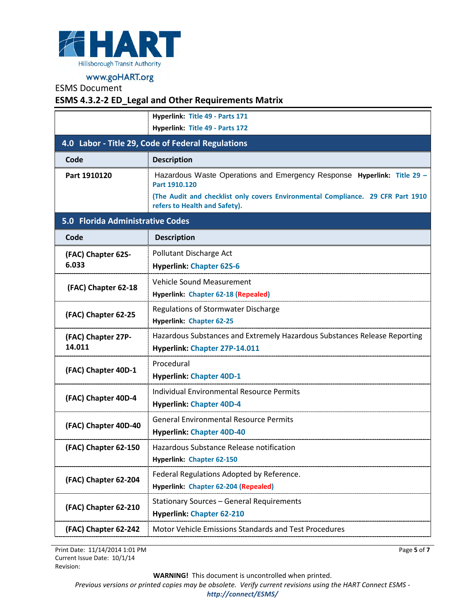

## ESMS Document

# **ESMS 4.3.2-2 ED\_Legal and Other Requirements Matrix**

|                                                                                                      | Hyperlink: Title 49 - Parts 171                                                                                                                                                                              |  |
|------------------------------------------------------------------------------------------------------|--------------------------------------------------------------------------------------------------------------------------------------------------------------------------------------------------------------|--|
|                                                                                                      | Hyperlink: Title 49 - Parts 172                                                                                                                                                                              |  |
| 4.0 Labor - Title 29, Code of Federal Regulations                                                    |                                                                                                                                                                                                              |  |
| Code                                                                                                 | <b>Description</b>                                                                                                                                                                                           |  |
| Part 1910120                                                                                         | Hazardous Waste Operations and Emergency Response Hyperlink: Title 29 -<br>Part 1910.120<br>(The Audit and checklist only covers Environmental Compliance. 29 CFR Part 1910<br>refers to Health and Safety). |  |
| 5.0 Florida Administrative Codes                                                                     |                                                                                                                                                                                                              |  |
| Code                                                                                                 | <b>Description</b>                                                                                                                                                                                           |  |
| (FAC) Chapter 62S-<br>6.033                                                                          | Pollutant Discharge Act<br><b>Hyperlink: Chapter 62S-6</b>                                                                                                                                                   |  |
| (FAC) Chapter 62-18                                                                                  | <b>Vehicle Sound Measurement</b><br>Hyperlink: Chapter 62-18 (Repealed)                                                                                                                                      |  |
| (FAC) Chapter 62-25                                                                                  | Regulations of Stormwater Discharge<br><b>Hyperlink: Chapter 62-25</b>                                                                                                                                       |  |
| (FAC) Chapter 27P-<br>14.011                                                                         | Hazardous Substances and Extremely Hazardous Substances Release Reporting<br>Hyperlink: Chapter 27P-14.011                                                                                                   |  |
| (FAC) Chapter 40D-1                                                                                  | Procedural<br><b>Hyperlink: Chapter 40D-1</b>                                                                                                                                                                |  |
| (FAC) Chapter 40D-4                                                                                  | <b>Individual Environmental Resource Permits</b><br><b>Hyperlink: Chapter 40D-4</b>                                                                                                                          |  |
| (FAC) Chapter 40D-40                                                                                 | <b>General Environmental Resource Permits</b><br><b>Hyperlink: Chapter 40D-40</b>                                                                                                                            |  |
| Hazardous Substance Release notification<br>(FAC) Chapter 62-150<br><b>Hyperlink: Chapter 62-150</b> |                                                                                                                                                                                                              |  |
| (FAC) Chapter 62-204                                                                                 | Federal Regulations Adopted by Reference.<br>Hyperlink: Chapter 62-204 (Repealed)                                                                                                                            |  |
| (FAC) Chapter 62-210                                                                                 | <b>Stationary Sources - General Requirements</b><br><b>Hyperlink: Chapter 62-210</b>                                                                                                                         |  |
| (FAC) Chapter 62-242                                                                                 | <b>Motor Vehicle Emissions Standards and Test Procedures</b>                                                                                                                                                 |  |

Print Date: 11/14/2014 1:01 PM Current Issue Date: 10/1/14 Revision:

**WARNING!** This document is uncontrolled when printed.

Page **5** of **7**

*Previous versions or printed copies may be obsolete. Verify current revisions using the HART Connect ESMS <http://connect/ESMS/>*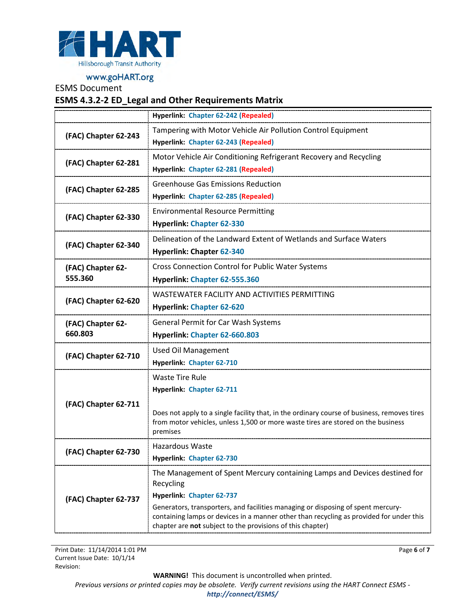

ESMS Document

### **ESMS 4.3.2-2 ED\_Legal and Other Requirements Matrix**

|                      | Hyperlink: Chapter 62-242 (Repealed)                                                                                                                                            |  |
|----------------------|---------------------------------------------------------------------------------------------------------------------------------------------------------------------------------|--|
| (FAC) Chapter 62-243 | Tampering with Motor Vehicle Air Pollution Control Equipment                                                                                                                    |  |
|                      | Hyperlink: Chapter 62-243 (Repealed)                                                                                                                                            |  |
| (FAC) Chapter 62-281 | Motor Vehicle Air Conditioning Refrigerant Recovery and Recycling                                                                                                               |  |
|                      | Hyperlink: Chapter 62-281 (Repealed)                                                                                                                                            |  |
| (FAC) Chapter 62-285 | <b>Greenhouse Gas Emissions Reduction</b>                                                                                                                                       |  |
|                      | Hyperlink: Chapter 62-285 (Repealed)                                                                                                                                            |  |
| (FAC) Chapter 62-330 | <b>Environmental Resource Permitting</b>                                                                                                                                        |  |
|                      | <b>Hyperlink: Chapter 62-330</b>                                                                                                                                                |  |
| (FAC) Chapter 62-340 | Delineation of the Landward Extent of Wetlands and Surface Waters                                                                                                               |  |
|                      | <b>Hyperlink: Chapter 62-340</b>                                                                                                                                                |  |
| (FAC) Chapter 62-    | <b>Cross Connection Control for Public Water Systems</b>                                                                                                                        |  |
| 555.360              | Hyperlink: Chapter 62-555.360                                                                                                                                                   |  |
|                      | WASTEWATER FACILITY AND ACTIVITIES PERMITTING                                                                                                                                   |  |
| (FAC) Chapter 62-620 | <b>Hyperlink: Chapter 62-620</b>                                                                                                                                                |  |
| (FAC) Chapter 62-    | <b>General Permit for Car Wash Systems</b>                                                                                                                                      |  |
| 660.803              | Hyperlink: Chapter 62-660.803                                                                                                                                                   |  |
| (FAC) Chapter 62-710 | <b>Used Oil Management</b>                                                                                                                                                      |  |
|                      | <b>Hyperlink: Chapter 62-710</b>                                                                                                                                                |  |
|                      | <b>Waste Tire Rule</b>                                                                                                                                                          |  |
|                      | Hyperlink: Chapter 62-711                                                                                                                                                       |  |
| (FAC) Chapter 62-711 |                                                                                                                                                                                 |  |
|                      | Does not apply to a single facility that, in the ordinary course of business, removes tires<br>from motor vehicles, unless 1,500 or more waste tires are stored on the business |  |
|                      | premises                                                                                                                                                                        |  |
| (FAC) Chapter 62-730 | Hazardous Waste                                                                                                                                                                 |  |
|                      | Hyperlink: Chapter 62-730                                                                                                                                                       |  |
|                      | The Management of Spent Mercury containing Lamps and Devices destined for                                                                                                       |  |
|                      | Recycling                                                                                                                                                                       |  |
| (FAC) Chapter 62-737 | Hyperlink: Chapter 62-737<br>Generators, transporters, and facilities managing or disposing of spent mercury-                                                                   |  |
|                      | containing lamps or devices in a manner other than recycling as provided for under this                                                                                         |  |
|                      | chapter are not subject to the provisions of this chapter)                                                                                                                      |  |

**WARNING!** This document is uncontrolled when printed.

Page **6** of **7**

*Previous versions or printed copies may be obsolete. Verify current revisions using the HART Connect ESMS -*